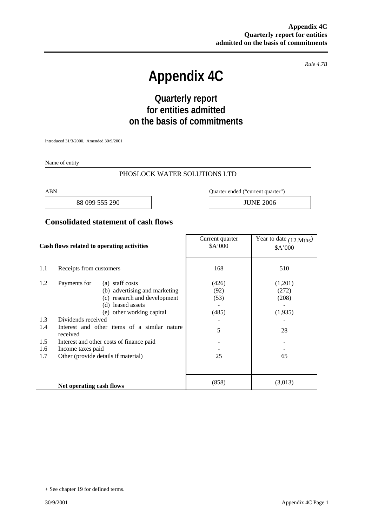*Rule 4.7B* 

# **Appendix 4C**

# **Quarterly report for entities admitted on the basis of commitments**

Introduced 31/3/2000. Amended 30/9/2001

Name of entity

#### PHOSLOCK WATER SOLUTIONS LTD

88 099 555 290 JUNE 2006

ABN Quarter ended ("current quarter")

### **Consolidated statement of cash flows**

| Cash flows related to operating activities |                                                          | Current quarter<br>\$A'000 | Year to date (12.Mths)<br>\$A'000 |
|--------------------------------------------|----------------------------------------------------------|----------------------------|-----------------------------------|
| 1.1                                        | Receipts from customers                                  | 168                        | 510                               |
| 1.2                                        | Payments for<br>(a) staff costs                          | (426)                      | (1,201)                           |
|                                            | (b) advertising and marketing                            | (92)                       | (272)                             |
|                                            | (c) research and development                             | (53)                       | (208)                             |
|                                            | (d) leased assets                                        |                            |                                   |
|                                            | (e) other working capital                                | (485)                      | (1,935)                           |
| 1.3                                        | Dividends received                                       |                            |                                   |
| 1.4                                        | Interest and other items of a similar nature<br>received | 5                          | 28                                |
| 1.5                                        | Interest and other costs of finance paid                 |                            |                                   |
| 1.6                                        | Income taxes paid                                        |                            |                                   |
| 1.7                                        | Other (provide details if material)                      | 25                         | 65                                |
|                                            |                                                          |                            |                                   |
|                                            | Net operating cash flows                                 | (858)                      | (3,013)                           |

<sup>+</sup> See chapter 19 for defined terms.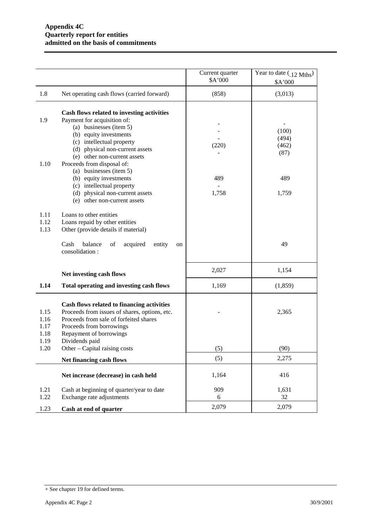|                                      |                                                                                                                                                                                                                                                                                                                                                | Current quarter<br>\$A'000 | Year to date (12 Mths)<br>\$A'000      |
|--------------------------------------|------------------------------------------------------------------------------------------------------------------------------------------------------------------------------------------------------------------------------------------------------------------------------------------------------------------------------------------------|----------------------------|----------------------------------------|
| 1.8                                  | Net operating cash flows (carried forward)                                                                                                                                                                                                                                                                                                     | (858)                      | (3,013)                                |
| 1.9<br>1.10                          | Cash flows related to investing activities<br>Payment for acquisition of:<br>(a) businesses (item 5)<br>(b) equity investments<br>(c) intellectual property<br>(d) physical non-current assets<br>(e) other non-current assets<br>Proceeds from disposal of:<br>(a) businesses (item 5)<br>(b) equity investments<br>(c) intellectual property | (220)<br>489               | (100)<br>(494)<br>(462)<br>(87)<br>489 |
| 1.11<br>1.12<br>1.13                 | (d) physical non-current assets<br>(e) other non-current assets<br>Loans to other entities<br>Loans repaid by other entities<br>Other (provide details if material)<br>balance<br>Cash<br>of<br>acquired<br>entity<br>on<br>consolidation:                                                                                                     | 1,758                      | 1,759<br>49                            |
|                                      | Net investing cash flows                                                                                                                                                                                                                                                                                                                       | 2,027                      | 1,154                                  |
| 1.14                                 | Total operating and investing cash flows                                                                                                                                                                                                                                                                                                       | 1,169                      | (1, 859)                               |
| 1.15<br>1.16<br>1.17<br>1.18<br>1.19 | Cash flows related to financing activities<br>Proceeds from issues of shares, options, etc.<br>Proceeds from sale of forfeited shares<br>Proceeds from borrowings<br>Repayment of borrowings<br>Dividends paid                                                                                                                                 |                            | 2,365                                  |
| 1.20                                 | Other – Capital raising costs                                                                                                                                                                                                                                                                                                                  | (5)                        | (90)                                   |
|                                      | Net financing cash flows                                                                                                                                                                                                                                                                                                                       | (5)                        | 2,275                                  |
|                                      | Net increase (decrease) in cash held                                                                                                                                                                                                                                                                                                           | 1,164                      | 416                                    |
| 1.21<br>1.22                         | Cash at beginning of quarter/year to date<br>Exchange rate adjustments                                                                                                                                                                                                                                                                         | 909<br>6                   | 1,631<br>32                            |
| 1.23                                 | Cash at end of quarter                                                                                                                                                                                                                                                                                                                         | 2,079                      | 2,079                                  |

<sup>+</sup> See chapter 19 for defined terms.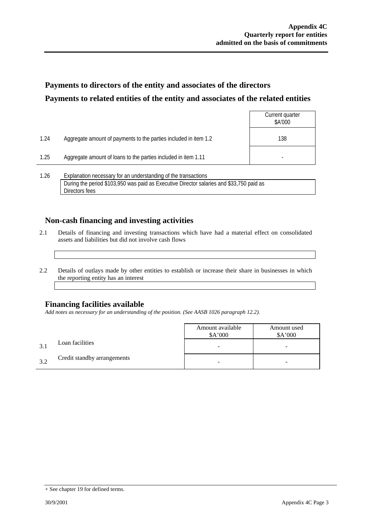# **Payments to directors of the entity and associates of the directors Payments to related entities of the entity and associates of the related entities**

|      |                                                                                                                                                            | Current quarter<br>\$A'000 |
|------|------------------------------------------------------------------------------------------------------------------------------------------------------------|----------------------------|
| 1.24 | Aggregate amount of payments to the parties included in item 1.2                                                                                           | 138                        |
| 1.25 | Aggregate amount of loans to the parties included in item 1.11                                                                                             |                            |
| 1.26 | Explanation necessary for an understanding of the transactions<br>During the period \$103,950 was paid as Executive Director salaries and \$33,750 paid as |                            |

### **Non-cash financing and investing activities**

- 2.1 Details of financing and investing transactions which have had a material effect on consolidated assets and liabilities but did not involve cash flows
- 2.2 Details of outlays made by other entities to establish or increase their share in businesses in which the reporting entity has an interest

#### **Financing facilities available**

Directors fees

*Add notes as necessary for an understanding of the position. (See AASB 1026 paragraph 12.2).* 

|    |                             | Amount available<br>A'000 | Amount used<br>\$A'000 |
|----|-----------------------------|---------------------------|------------------------|
|    | Loan facilities             |                           | -                      |
| 32 | Credit standby arrangements |                           | -                      |

<sup>+</sup> See chapter 19 for defined terms.